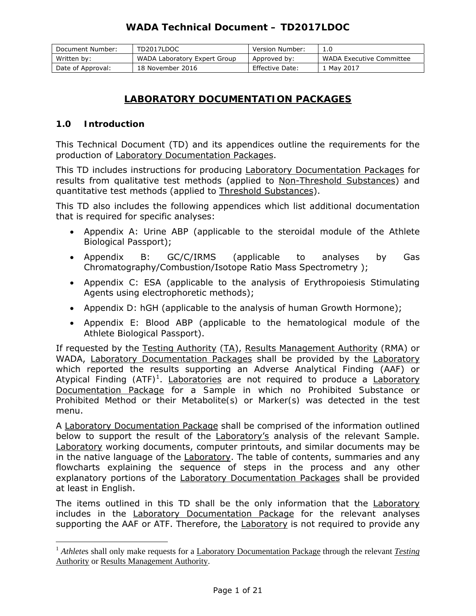| Document Number:  | TD2017LDOC                   | Version Number: | 1.0                             |
|-------------------|------------------------------|-----------------|---------------------------------|
| Written by:       | WADA Laboratory Expert Group | Approved by:    | <i>WADA</i> Executive Committee |
| Date of Approval: | 18 November 2016             | Effective Date: | 1 May 2017                      |

# **LABORATORY DOCUMENTATION PACKAGES**

## **1.0 Introduction**

 $\overline{a}$ 

This Technical Document (TD) and its appendices outline the requirements for the production of Laboratory Documentation Packages.

This TD includes instructions for producing **Laboratory Documentation Packages** for results from qualitative test methods (applied to Non-Threshold Substances) and quantitative test methods (applied to Threshold Substances).

This TD also includes the following appendices which list additional documentation that is required for specific analyses:

- Appendix A: Urine *ABP* (applicable to the steroidal module of the *Athlete Biological Passport*);
- Appendix B: GC/C/IRMS (applicable to analyses by Gas Chromatography/Combustion/Isotope Ratio Mass Spectrometry );
- Appendix C: ESA (applicable to the analysis of Erythropoiesis Stimulating Agents using electrophoretic methods);
- Appendix D: hGH (applicable to the analysis of human Growth Hormone);
- Appendix E: Blood *ABP* (applicable to the hematological module of the *Athlete Biological Passport*).

If requested by the *Testing* Authority (TA), Results Management Authority (RMA) or *WADA*, Laboratory Documentation Packages shall be provided by the Laboratory which reported the results supporting an *Adverse Analytical Finding* (*AAF*) or Atypical Finding (ATF)<sup>1</sup>. Laboratories are not required to produce a Laboratory Documentation Package for a *Sample* in which no *Prohibited Substance* or *Prohibited Method* or their *Metabolite(s)* or *Marker(s)* was detected in the test menu.

A Laboratory Documentation Package shall be comprised of the information outlined below to support the result of the Laboratory's analysis of the relevant *Sample*. Laboratory working documents, computer printouts, and similar documents may be in the native language of the Laboratory. The table of contents, summaries and any flowcharts explaining the sequence of steps in the process and any other explanatory portions of the Laboratory Documentation Packages shall be provided at least in English.

The items outlined in this TD shall be the only information that the Laboratory includes in the Laboratory Documentation Package for the relevant analyses supporting the *AAF* or *ATF*. Therefore, the Laboratory is not required to provide any

<sup>&</sup>lt;sup>1</sup> *Athletes* shall only make requests for a Laboratory Documentation Package through the relevant Testing Authority or Results Management Authority.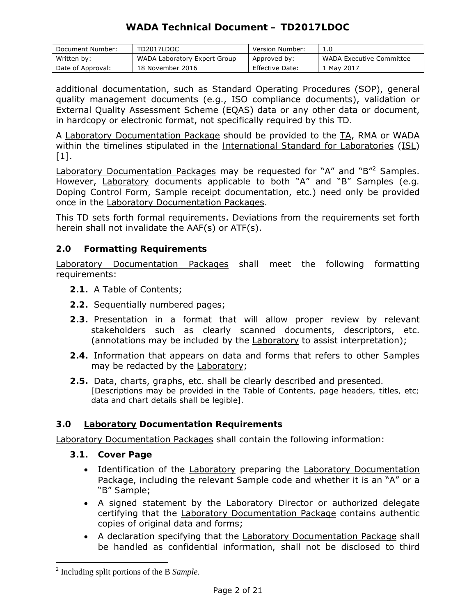| Document Number:  | TD2017LDOC                   | Version Number:        | 1.0                             |
|-------------------|------------------------------|------------------------|---------------------------------|
| Written by:       | WADA Laboratory Expert Group | Approved by:           | <i>WADA</i> Executive Committee |
| Date of Approval: | 18 November 2016             | <b>Effective Date:</b> | Mav 2017                        |

additional documentation, such as Standard Operating Procedures (SOP), general quality management documents (*e.g*., ISO compliance documents), validation or External Quality Assessment Scheme (EQAS) data or any other data or document, in hardcopy or electronic format, not specifically required by this TD.

A Laboratory Documentation Package should be provided to the TA, RMA or *WADA* within the timelines stipulated in the *International Standard* for Laboratories (ISL)  $[1]$ .

Laboratory Documentation Packages may be requested for "A" and "B"2 *Samples*. However, Laboratory documents applicable to both "A" and "B" *Samples* (*e.g. Doping Control* Form, *Sample* receipt documentation, etc.) need only be provided once in the Laboratory Documentation Packages.

This TD sets forth formal requirements. Deviations from the requirements set forth herein shall not invalidate the *AAF*(s) or *ATF*(s).

## **2.0 Formatting Requirements**

Laboratory Documentation Packages shall meet the following formatting requirements:

- **2.1.** A Table of Contents;
- **2.2.** Sequentially numbered pages;
- **2.3.** Presentation in a format that will allow proper review by relevant stakeholders such as clearly scanned documents, descriptors, etc. (annotations may be included by the Laboratory to assist interpretation);
- **2.4.** Information that appears on data and forms that refers to other *Samples* may be redacted by the Laboratory;
- **2.5.** Data, charts, graphs, etc. shall be clearly described and presented. *[Descriptions may be provided in the Table of Contents, page headers, titles, etc; data and chart details shall be legible].*

## **3.0 Laboratory Documentation Requirements**

Laboratory Documentation Packages shall contain the following information:

- **3.1. Cover Page**
	- Identification of the Laboratory preparing the Laboratory Documentation Package, including the relevant *Sample* code and whether it is an "A" or a "B" *Sample*;
	- A signed statement by the Laboratory Director or authorized delegate certifying that the Laboratory Documentation Package contains authentic copies of original data and forms;
	- A declaration specifying that the Laboratory Documentation Package shall be handled as confidential information, shall not be disclosed to third

 $\overline{a}$ 

<sup>2</sup> Including split portions of the B *Sample*.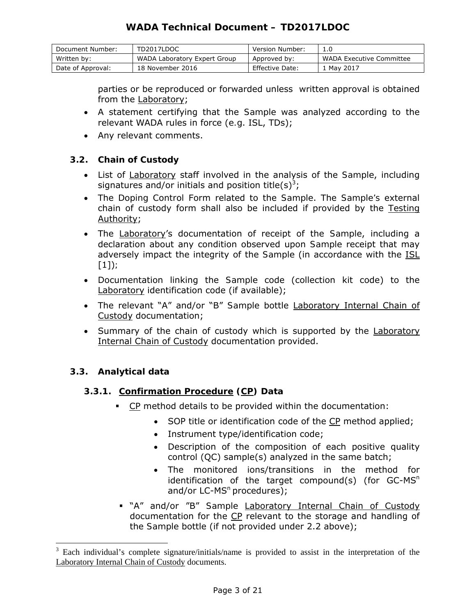| Document Number:  | TD2017LDOC                   | Version Number: | 1.0                             |
|-------------------|------------------------------|-----------------|---------------------------------|
| Written by:       | WADA Laboratory Expert Group | Approved by:    | <i>WADA</i> Executive Committee |
| Date of Approval: | 18 November 2016             | Effective Date: | 1 May 2017                      |

parties or be reproduced or forwarded unless written approval is obtained from the Laboratory;

- A statement certifying that the *Sample* was analyzed according to the relevant *WADA* rules in force (*e.g*. ISL, TDs);
- Any relevant comments.

## **3.2. Chain of Custody**

- List of Laboratory staff involved in the analysis of the *Sample*, including signatures and/or initials and position title(s)<sup>3</sup>;
- The *Doping Control* Form related to the *Sample*. The *Sample's* external chain of custody form shall also be included if provided by the *Testing* Authority;
- The Laboratory's documentation of receipt of the *Sample*, including a declaration about any condition observed upon *Sample* receipt that may adversely impact the integrity of the *Sample* (in accordance with the ISL [1])*;*
- Documentation linking the *Sample* code (collection kit code) to the Laboratory identification code (if available);
- The relevant "A" and/or "B" *Sample* bottle Laboratory Internal Chain of Custody documentation;
- Summary of the chain of custody which is supported by the Laboratory Internal Chain of Custody documentation provided.

# **3.3. Analytical data**

 $\overline{a}$ 

# **3.3.1. Confirmation Procedure (CP) Data**

- **CP** method details to be provided within the documentation:
	- SOP title or identification code of the CP method applied;
	- Instrument type/identification code;
	- Description of the composition of each positive quality control (QC) sample(s) analyzed in the same batch;
	- The monitored ions/transitions in the method for identification of the target compound(s) (for  $GC$ -MS<sup>n</sup> and/or  $LC$ -MS<sup>n</sup> procedures);
- "A" and/or "B" *Sample* Laboratory Internal Chain of Custody documentation for the CP relevant to the storage and handling of the *Sample* bottle (if not provided under 2.2 above);

 $3$  Each individual's complete signature/initials/name is provided to assist in the interpretation of the Laboratory Internal Chain of Custody documents.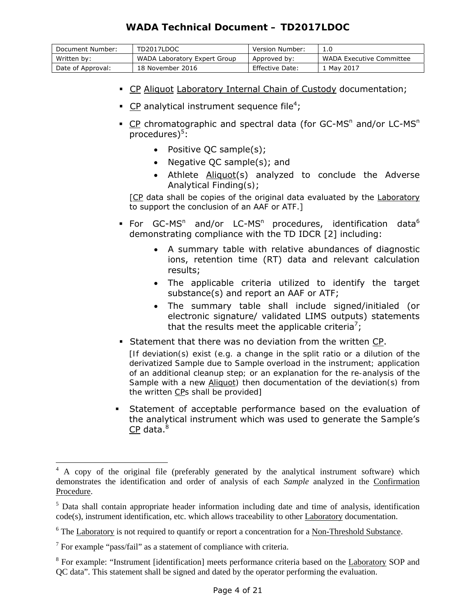| Document Number:  | TD2017LDOC                   | Version Number: | 1.0                             |
|-------------------|------------------------------|-----------------|---------------------------------|
| Written by:       | WADA Laboratory Expert Group | Approved by:    | <i>WADA</i> Executive Committee |
| Date of Approval: | 18 November 2016             | Effective Date: | 1 May 2017                      |

- CP Aliquot Laboratory Internal Chain of Custody documentation;
- **CP** analytical instrument sequence file<sup>4</sup>;
- CP chromatographic and spectral data (for GC-MS<sup>n</sup> and/or LC-MS<sup>n</sup> procedures)<sup>5</sup>:
	- Positive QC sample(s);
	- Negative QC sample(s); and
	- *Athlete* Aliquot(s) analyzed to conclude the *Adverse Analytical Finding(s)*;

[CP data shall be copies of the original data evaluated by the Laboratory to support the conclusion of an *AAF* or *ATF*.]

- For GC-MS<sup>n</sup> and/or LC-MS<sup>n</sup> procedures, identification data<sup>6</sup> demonstrating compliance with the TD IDCR [2] including:
	- A summary table with relative abundances of diagnostic ions, retention time (RT) data and relevant calculation results;
	- The applicable criteria utilized to identify the target substance(s) and report an *AAF or ATF*;
	- The summary table shall include signed/initialed (or electronic signature/ validated LIMS outputs) statements that the results meet the applicable criteria<sup>7</sup>;
- Statement that there was no deviation from the written CP.

*[If deviation(s) exist (e.g. a change in the split ratio or a dilution of the derivatized Sample due to Sample overload in the instrument; application of an additional cleanup step; or an explanation for the re-analysis of the Sample with a new Aliquot) then documentation of the deviation(s) from the written CPs shall be provided]*

 Statement of acceptable performance based on the evaluation of the analytical instrument which was used to generate the *Sample*'s  $\overline{\textsf{CP}}$  data. $^8$ 

 $\overline{a}$ 

<sup>&</sup>lt;sup>4</sup> A copy of the original file (preferably generated by the analytical instrument software) which demonstrates the identification and order of analysis of each *Sample* analyzed in the Confirmation Procedure.

<sup>&</sup>lt;sup>5</sup> Data shall contain appropriate header information including date and time of analysis, identification code(s), instrument identification, etc. which allows traceability to other Laboratory documentation.

 $6$  The Laboratory is not required to quantify or report a concentration for a Non-Threshold Substance.

 $7$  For example "pass/fail" as a statement of compliance with criteria.

<sup>&</sup>lt;sup>8</sup> For example: "Instrument [identification] meets performance criteria based on the Laboratory SOP and QC data". This statement shall be signed and dated by the operator performing the evaluation.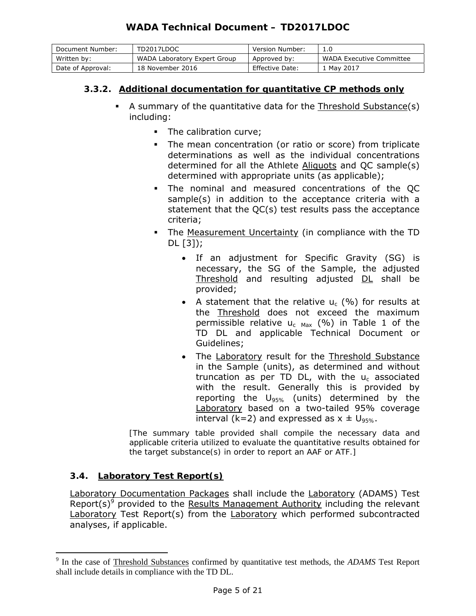| Document Number:  | TD2017LDOC                   | Version Number: | 1.0                      |
|-------------------|------------------------------|-----------------|--------------------------|
| Written by:       | WADA Laboratory Expert Group | Approved by:    | WADA Executive Committee |
| Date of Approval: | 18 November 2016             | Effective Date: | . Mav 2017               |

# **3.3.2. Additional documentation for quantitative CP methods only**

- A summary of the quantitative data for the Threshold Substance(s) including:
	- The calibration curve;
	- The mean concentration (or ratio or score) from triplicate determinations as well as the individual concentrations determined for all the *Athlete* Aliquots and QC sample(s) determined with appropriate units (as applicable);
	- The nominal and measured concentrations of the QC sample(s) in addition to the acceptance criteria with a statement that the QC(s) test results pass the acceptance criteria;
	- The Measurement Uncertainty (in compliance with the TD DL [3]);
		- If an adjustment for Specific Gravity (SG) is necessary, the SG of the *Sample*, the adjusted Threshold and resulting adjusted DL shall be provided;
		- A statement that the relative  $u_c$  (%) for results at the Threshold does not exceed the maximum permissible relative  $u_c$   $_{Max}$  (%) in Table 1 of the TD DL and applicable Technical Document or Guidelines;
		- The Laboratory result for the Threshold Substance in the *Sample* (units), as determined and without truncation as per TD DL, with the  $u_c$  associated with the result. Generally this is provided by reporting the *U95%* (units) determined by the Laboratory based on a two-tailed 95% coverage interval ( $k=2$ ) and expressed as  $x \pm U_{95\%}$ .

*[The summary table provided shall compile the necessary data and applicable criteria utilized to evaluate the quantitative results obtained for the target substance(s) in order to report an AAF* or *ATF.]* 

## **3.4. Laboratory Test Report(s)**

 $\overline{a}$ 

Laboratory Documentation Packages shall include the Laboratory (*ADAMS*) Test Report(s)<sup>9</sup> provided to the Results Management Authority including the relevant Laboratory Test Report(s) from the Laboratory which performed subcontracted analyses, if applicable.

<sup>9</sup> In the case of Threshold Substances confirmed by quantitative test methods, the *ADAMS* Test Report shall include details in compliance with the TD DL.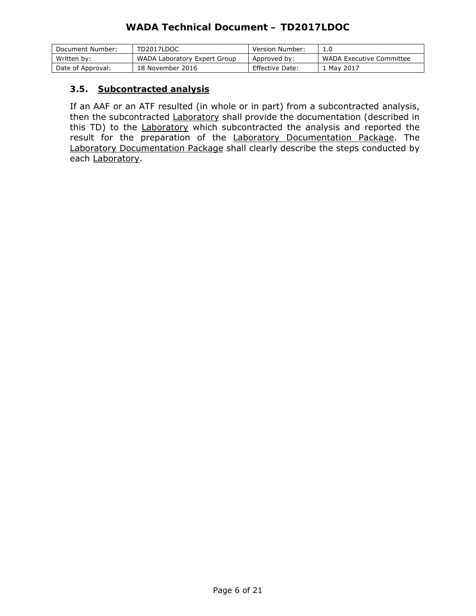| Document Number:  | TD2017LDOC                   | Version Number: | 1.0                      |
|-------------------|------------------------------|-----------------|--------------------------|
| Written by:       | WADA Laboratory Expert Group | Approved by:    | WADA Executive Committee |
| Date of Approval: | 18 November 2016             | Effective Date: | r May 2017               |

### **3.5. Subcontracted analysis**

If an *AAF* or an *ATF* resulted (in whole or in part) from a subcontracted analysis, then the subcontracted Laboratory shall provide the documentation (described in this TD) to the Laboratory which subcontracted the analysis and reported the result for the preparation of the Laboratory Documentation Package. The Laboratory Documentation Package shall clearly describe the steps conducted by each Laboratory.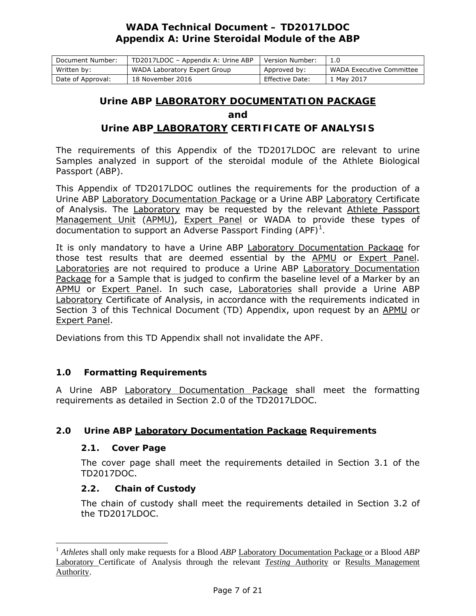| Document Number:  | TD2017LDOC - Appendix A: Urine ABP | Version Number: |                          |
|-------------------|------------------------------------|-----------------|--------------------------|
| Written by:       | WADA Laboratory Expert Group       | Approved by:    | WADA Executive Committee |
| Date of Approval: | 18 November 2016                   | Effective Date: | 1 May 2017               |

### **Urine** *ABP* **LABORATORY DOCUMENTATION PACKAGE**

**and** 

### **Urine** *ABP* **LABORATORY CERTIFICATE OF ANALYSIS**

The requirements of this Appendix of the TD2017LDOC are relevant to urine *Samples* analyzed in support of the steroidal module of the *Athlete Biological Passport* (*ABP*).

This Appendix of TD2017LDOC outlines the requirements for the production of a Urine *ABP* Laboratory Documentation Package or a Urine *ABP* Laboratory Certificate of Analysis. The Laboratory may be requested by the relevant *Athlete* Passport Management Unit (APMU), Expert Panel or *WADA* to provide these types of documentation to support an *Adverse Passport Finding (APF)<sup>1</sup> .* 

It is only mandatory to have a Urine *ABP* Laboratory Documentation Package for those test results that are deemed essential by the APMU or Expert Panel. Laboratories are not required to produce a Urine *ABP* Laboratory Documentation Package for a *Sample* that is judged to confirm the baseline level of a *Marker* by an APMU or Expert Panel. In such case, Laboratories shall provide a Urine *ABP*  Laboratory Certificate of Analysis, in accordance with the requirements indicated in Section 3 of this Technical Document (TD) Appendix, upon request by an APMU or Expert Panel.

Deviations from this TD Appendix shall not invalidate the *APF*.

### **1.0 Formatting Requirements**

A Urine *ABP* Laboratory Documentation Package shall meet the formatting requirements as detailed in Section 2.0 of the TD2017LDOC.

### **2.0 Urine** *ABP* **Laboratory Documentation Package Requirements**

#### **2.1. Cover Page**

 $\overline{a}$ 

The cover page shall meet the requirements detailed in Section 3.1 of the TD2017DOC.

### **2.2. Chain of Custody**

The chain of custody shall meet the requirements detailed in Section 3.2 of the TD2017LDOC.

<sup>1</sup> *Athlete*s shall only make requests for a Blood *ABP* Laboratory Documentation Package or a Blood *ABP* Laboratory Certificate of Analysis through the relevant *Testing* Authority or Results Management Authority.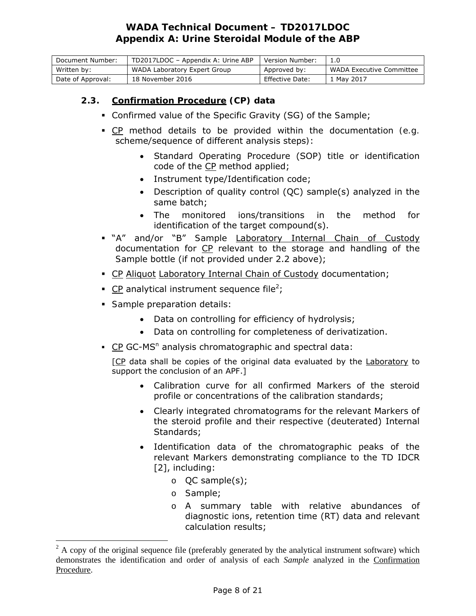| Document Number:  | TD2017LDOC - Appendix A: Urine ABP | Version Number: |                          |
|-------------------|------------------------------------|-----------------|--------------------------|
| Written by:       | WADA Laboratory Expert Group       | Approved by:    | WADA Executive Committee |
| Date of Approval: | 18 November 2016                   | Effective Date: | ' Mav 2017               |

# **2.3. Confirmation Procedure (CP) data**

- Confirmed value of the Specific Gravity (SG) of the *Sample*;
- CP method details to be provided within the documentation *(e.g.*  scheme/sequence of different analysis steps*)*:
	- Standard Operating Procedure (SOP) title or identification code of the CP method applied;
	- Instrument type/Identification code;
	- Description of quality control (QC) sample(s) analyzed in the same batch;
	- The monitored ions/transitions in the method for identification of the target compound(s).
- "A" and/or "B" *Sample* Laboratory Internal Chain of Custody documentation for CP relevant to the storage and handling of the *Sample* bottle (if not provided under 2.2 above);
- CP Aliquot Laboratory Internal Chain of Custody documentation;
- **CP** analytical instrument sequence file<sup>2</sup>;
- *Sample* preparation details:
	- Data on controlling for efficiency of hydrolysis;
	- Data on controlling for completeness of derivatization.
- CP GC-MS<sup>n</sup> analysis chromatographic and spectral data:

[CP data shall be copies of the original data evaluated by the Laboratory to support the conclusion of an *APF*.]

- Calibration curve for all confirmed *Markers* of the steroid profile or concentrations of the calibration standards;
- Clearly integrated chromatograms for the relevant *Markers* of the steroid profile and their respective (deuterated) Internal Standards;
- Identification data of the chromatographic peaks of the relevant *Markers* demonstrating compliance to the TD IDCR [2], including:
	- o QC sample(s);
	- o *Sample*;

 $\overline{a}$ 

o A summary table with relative abundances of diagnostic ions, retention time (RT) data and relevant calculation results;

 $2^2$  A copy of the original sequence file (preferably generated by the analytical instrument software) which demonstrates the identification and order of analysis of each *Sample* analyzed in the Confirmation Procedure.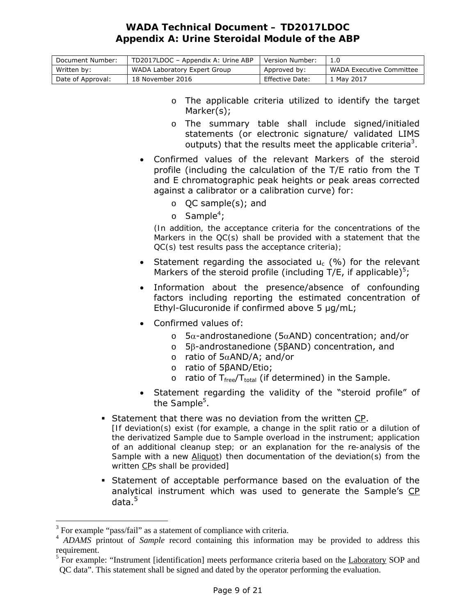| Document Number:  | TD2017LDOC - Appendix A: Urine ABP | Version Number: |                          |
|-------------------|------------------------------------|-----------------|--------------------------|
| Written by:       | WADA Laboratory Expert Group       | Approved by:    | WADA Executive Committee |
| Date of Approval: | 18 November 2016                   | Effective Date: | 1 May 2017               |

- o The applicable criteria utilized to identify the target *Marker*(s);
- o The summary table shall include signed/initialed statements (or electronic signature/ validated LIMS outputs) that the results meet the applicable criteria<sup>3</sup>.
- Confirmed values of the relevant *Markers* of the steroid profile (including the calculation of the T/E ratio from the T and E chromatographic peak heights or peak areas corrected against a calibrator or a calibration curve) for:
	- o QC sample(s); and
	- o *Sample*<sup>4</sup> ;

*(In addition, the acceptance criteria for the concentrations of the Markers in the QC(s) shall be provided with a statement that the QC(s) test results pass the acceptance criteria);* 

- **Statement regarding the associated**  $u_c$  **(%) for the relevant** *Markers* of the steroid profile (including T/E, if applicable)<sup>5</sup>;
- Information about the presence/absence of confounding factors including reporting the estimated concentration of Ethyl-Glucuronide if confirmed above 5 µg/mL;
- Confirmed values of:
	- $\circ$  5 $\alpha$ -androstanedione (5 $\alpha$ AND) concentration; and/or
	- o 5β-androstanedione (5βAND) concentration, and
	- $\circ$  ratio of  $5\alpha$ AND/A; and/or
	- o ratio of 5βAND/Etio;
	- o ratio of T<sub>free</sub>/T<sub>total</sub> (if determined) in the *Sample*.
- Statement regarding the validity of the "steroid profile" of the *Sample*<sup>5</sup> .
- Statement that there was no deviation from the written CP.

*[If deviation(s) exist (for example, a change in the split ratio or a dilution of the derivatized Sample due to Sample overload in the instrument; application of an additional cleanup step; or an explanation for the re-analysis of the Sample with a new Aliquot) then documentation of the deviation(s) from the written CPs shall be provided]*

 Statement of acceptable performance based on the evaluation of the analytical instrument which was used to generate the *Sample*'s CP data.<sup>5</sup>

 $\overline{a}$ 

 $3$  For example "pass/fail" as a statement of compliance with criteria.

<sup>4</sup> *ADAMS* printout of *Sample* record containing this information may be provided to address this requirement.

<sup>&</sup>lt;sup>5</sup> For example: "Instrument [identification] meets performance criteria based on the Laboratory SOP and QC data". This statement shall be signed and dated by the operator performing the evaluation.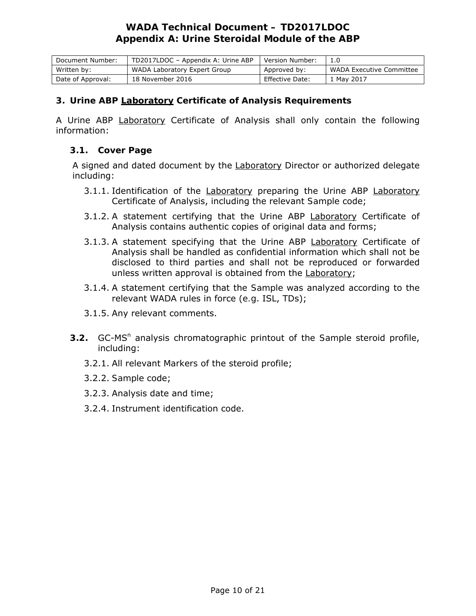| Document Number:  | TD2017LDOC - Appendix A: Urine ABP | Version Number:        |                          |
|-------------------|------------------------------------|------------------------|--------------------------|
| Written by:       | WADA Laboratory Expert Group       | Approved by:           | WADA Executive Committee |
| Date of Approval: | 18 November 2016                   | <b>Effective Date:</b> | 1 May 2017               |

### **3. Urine** *ABP* **Laboratory Certificate of Analysis Requirements**

A Urine *ABP* Laboratory Certificate of Analysis shall only contain the following information:

### **3.1. Cover Page**

A signed and dated document by the Laboratory Director or authorized delegate including:

- 3.1.1. Identification of the Laboratory preparing the Urine *ABP* Laboratory Certificate of Analysis, including the relevant *Sample* code;
- 3.1.2. A statement certifying that the Urine *ABP* Laboratory Certificate of Analysis contains authentic copies of original data and forms;
- 3.1.3. A statement specifying that the Urine *ABP* Laboratory Certificate of Analysis shall be handled as confidential information which shall not be disclosed to third parties and shall not be reproduced or forwarded unless written approval is obtained from the Laboratory;
- 3.1.4. A statement certifying that the *Sample* was analyzed according to the relevant *WADA* rules in force (*e.g*. ISL, TDs);
- 3.1.5. Any relevant comments.
- **3.2.** GC-MS<sup>n</sup> analysis chromatographic printout of the *Sample* steroid profile, including:
	- 3.2.1. All relevant *Markers* of the steroid profile;
	- 3.2.2. *Sample* code;
	- 3.2.3. Analysis date and time;
	- 3.2.4. Instrument identification code.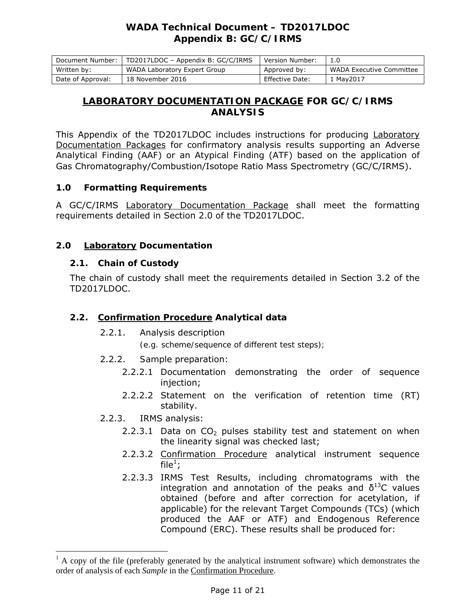# *WADA* **Technical Document – TD2017LDOC Appendix B: GC/C/IRMS**

| Document Number:  | TD2017LDOC - Appendix B: GC/C/IRMS | Version Number: |                          |
|-------------------|------------------------------------|-----------------|--------------------------|
| Written by:       | WADA Laboratory Expert Group       | Approved by:    | WADA Executive Committee |
| Date of Approval: | 18 November 2016                   | Effective Date: | r May2017                |

## **LABORATORY DOCUMENTATION PACKAGE FOR GC/C/IRMS ANALYSIS**

This Appendix of the TD2017LDOC includes instructions for producing Laboratory Documentation Packages for confirmatory analysis results supporting an *Adverse Analytical Finding* (*AAF*) or an *Atypical Finding* (*ATF*) based on the application of Gas Chromatography/Combustion/Isotope Ratio Mass Spectrometry (GC/C/IRMS).

## **1.0 Formatting Requirements**

A GC/C/IRMS Laboratory Documentation Package shall meet the formatting requirements detailed in Section 2.0 of the TD2017LDOC.

## **2.0 Laboratory Documentation**

## **2.1. Chain of Custody**

The chain of custody shall meet the requirements detailed in Section 3.2 of the TD2017LDOC.

## **2.2. Confirmation Procedure Analytical data**

2.2.1. Analysis description

*(e.g. scheme/sequence of different test steps);* 

- 2.2.2. *Sample* preparation:
	- 2.2.2.1 Documentation demonstrating the order of sequence injection;
	- 2.2.2.2 Statement on the verification of retention time (RT) stability.
- 2.2.3. IRMS analysis:

 $\overline{a}$ 

- 2.2.3.1 Data on  $CO<sub>2</sub>$  pulses stability test and statement on when the linearity signal was checked last;
- 2.2.3.2 Confirmation Procedure analytical instrument sequence file $^1$ ;
- 2.2.3.3 IRMS Test Results, including chromatograms with the integration and annotation of the peaks and  $\delta^{13}$ C values obtained (before and after correction for acetylation, if applicable) for the relevant Target Compounds (TCs) (which produced the *AAF* or *ATF*) and Endogenous Reference Compound (ERC). These results shall be produced for:

 $<sup>1</sup>$  A copy of the file (preferably generated by the analytical instrument software) which demonstrates the</sup> order of analysis of each *Sample* in the Confirmation Procedure.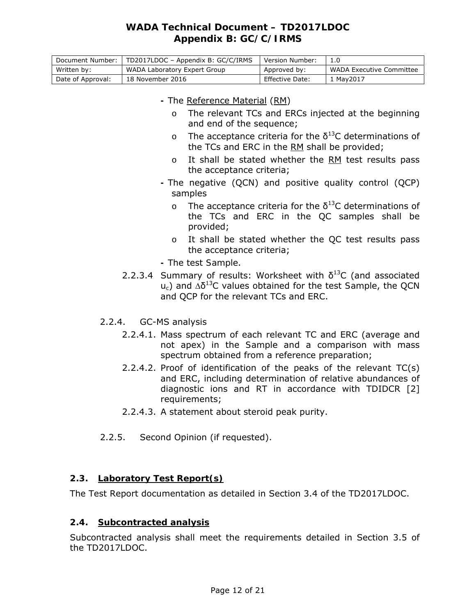# *WADA* **Technical Document – TD2017LDOC Appendix B: GC/C/IRMS**

| Document Number:  | TD2017LDOC - Appendix B: GC/C/IRMS | Version Number: |                          |
|-------------------|------------------------------------|-----------------|--------------------------|
| Written by:       | WADA Laboratory Expert Group       | Approved by:    | WADA Executive Committee |
| Date of Approval: | 18 November 2016                   | Effective Date: | 1 Mav2017                |

### **-** The Reference Material (RM)

- o The relevant TCs and ERCs injected at the beginning and end of the sequence;
- o The acceptance criteria for the  $\delta^{13}$ C determinations of the TCs and ERC in the RM shall be provided;
- o It shall be stated whether the RM test results pass the acceptance criteria;
- The negative (QCN) and positive quality control (QCP) samples
	- o The acceptance criteria for the  $\delta^{13}$ C determinations of the TCs and ERC in the QC samples shall be provided;
	- o It shall be stated whether the QC test results pass the acceptance criteria;
- The test *Sample*.
- 2.2.3.4 Summary of results: Worksheet with  $\delta^{13}$ C (and associated  $u_c$ ) and  $\Delta \delta^{13}$ C values obtained for the test *Sample*, the QCN and QCP for the relevant TCs and ERC.
- 2.2.4. GC-MS analysis
	- 2.2.4.1. Mass spectrum of each relevant TC and ERC (average and not apex) in the *Sample* and a comparison with mass spectrum obtained from a reference preparation;
	- 2.2.4.2. Proof of identification of the peaks of the relevant  $TC(s)$ and ERC, including determination of relative abundances of diagnostic ions and RT in accordance with TDIDCR [2] requirements;
	- 2.2.4.3. A statement about steroid peak purity.
- 2.2.5. Second Opinion (if requested).

### **2.3. Laboratory Test Report(s)**

The Test Report documentation as detailed in Section 3.4 of the TD2017LDOC.

### **2.4. Subcontracted analysis**

Subcontracted analysis shall meet the requirements detailed in Section 3.5 of the TD2017LDOC.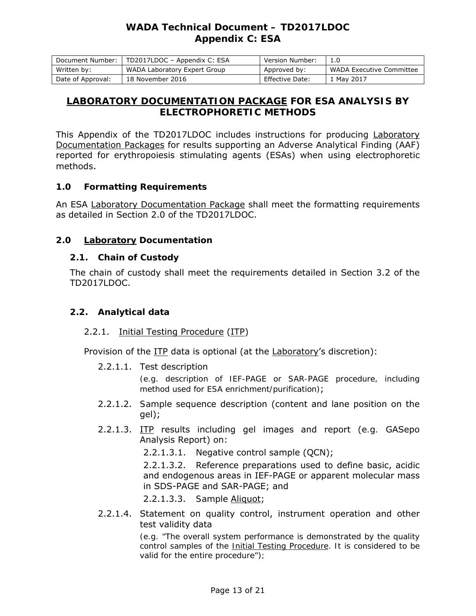# *WADA* **Technical Document – TD2017LDOC Appendix C: ESA**

| Document Number:  | TD2017LDOC - Appendix C: ESA | Version Number: |                          |
|-------------------|------------------------------|-----------------|--------------------------|
| Written by:       | WADA Laboratory Expert Group | Approved by:    | WADA Executive Committee |
| Date of Approval: | 18 November 2016             | Effective Date: | 1 May 2017               |

## **LABORATORY DOCUMENTATION PACKAGE FOR ESA ANALYSIS BY ELECTROPHORETIC METHODS**

This Appendix of the TD2017LDOC includes instructions for producing Laboratory Documentation Packages for results supporting an *Adverse Analytical Finding* (*AAF*) reported for erythropoiesis stimulating agents (ESAs) when using electrophoretic methods.

### **1.0 Formatting Requirements**

An ESA Laboratory Documentation Package shall meet the formatting requirements as detailed in Section 2.0 of the TD2017LDOC.

### **2.0 Laboratory Documentation**

### **2.1. Chain of Custody**

The chain of custody shall meet the requirements detailed in Section 3.2 of the TD2017LDOC.

### **2.2. Analytical data**

### 2.2.1. Initial Testing Procedure (ITP)

Provision of the ITP data is optional (at the Laboratory's discretion):

2.2.1.1. Test description

*(e.g. description of IEF-PAGE or SAR-PAGE procedure, including method used for ESA enrichment/purification)*;

- 2.2.1.2. *Sample* sequence description (content and lane position on the gel);
- 2.2.1.3. ITP results including gel images and report (*e.g.* GASepo Analysis Report) on:

2.2.1.3.1. Negative control sample (QCN);

2.2.1.3.2. Reference preparations used to define basic, acidic and endogenous areas in IEF-PAGE or apparent molecular mass in SDS-PAGE and SAR-PAGE; and

2.2.1.3.3. *Sample* Aliquot;

2.2.1.4. Statement on quality control, instrument operation and other test validity data

> *(e.g. "The overall system performance is demonstrated by the quality control samples of the Initial Testing Procedure. It is considered to be valid for the entire procedure");*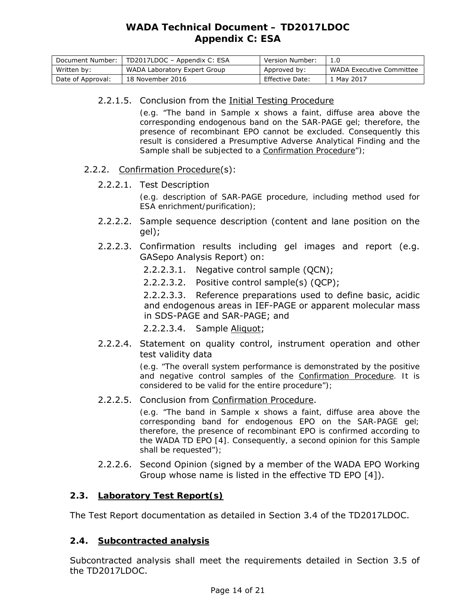| Document Number:  | TD2017LDOC - Appendix C: ESA | Version Number: |                          |
|-------------------|------------------------------|-----------------|--------------------------|
| Written by:       | WADA Laboratory Expert Group | Approved by:    | WADA Executive Committee |
| Date of Approval: | 18 November 2016             | Effective Date: | 1 May 2017               |

### 2.2.1.5. Conclusion from the Initial Testing Procedure

*(e.g. "The band in Sample x shows a faint, diffuse area above the corresponding endogenous band on the SAR-PAGE gel; therefore, the presence of recombinant EPO cannot be excluded. Consequently this result is considered a Presumptive Adverse Analytical Finding and the Sample shall be subjected to a Confirmation Procedure");* 

### 2.2.2. Confirmation Procedure(s):

### 2.2.2.1. Test Description

*(e.g. description of SAR-PAGE procedure, including method used for ESA enrichment/purification);* 

- 2.2.2.2. *Sample* sequence description (content and lane position on the gel);
- 2.2.2.3. Confirmation results including gel images and report (e.g. GASepo Analysis Report) on:
	- 2.2.2.3.1. Negative control sample (QCN);
	- 2.2.2.3.2. Positive control sample(s) (QCP);

2.2.2.3.3. Reference preparations used to define basic, acidic and endogenous areas in IEF-PAGE or apparent molecular mass in SDS-PAGE and SAR-PAGE; and

2.2.2.3.4. *Sample* Aliquot;

2.2.2.4. Statement on quality control, instrument operation and other test validity data

> *(e.g. "The overall system performance is demonstrated by the positive and negative control samples of the Confirmation Procedure. It is considered to be valid for the entire procedure");*

2.2.2.5. Conclusion from Confirmation Procedure.

*(e.g. "The band in Sample x shows a faint, diffuse area above the corresponding band for endogenous EPO on the SAR-PAGE gel; therefore, the presence of recombinant EPO is confirmed according to the WADA TD EPO [4]. Consequently, a second opinion for this Sample shall be requested");*

2.2.2.6. Second Opinion (signed by a member of the *WADA* EPO Working Group whose name is listed in the effective TD EPO [4]).

## **2.3. Laboratory Test Report(s)**

The Test Report documentation as detailed in Section 3.4 of the TD2017LDOC.

## **2.4. Subcontracted analysis**

Subcontracted analysis shall meet the requirements detailed in Section 3.5 of the TD2017LDOC.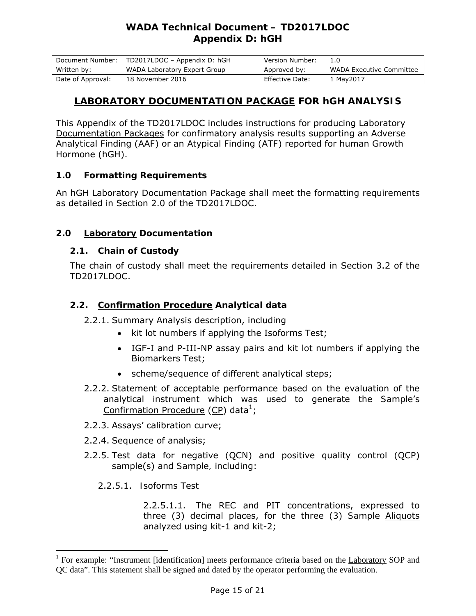# *WADA* **Technical Document – TD2017LDOC Appendix D: hGH**

| Document Number:  | TD2017LDOC - Appendix D: hGH | Version Number: |                          |
|-------------------|------------------------------|-----------------|--------------------------|
| Written by:       | WADA Laboratory Expert Group | Approved by:    | WADA Executive Committee |
| Date of Approval: | 18 November 2016             | Effective Date: | r May2017                |

## **LABORATORY DOCUMENTATION PACKAGE FOR hGH ANALYSIS**

This Appendix of the TD2017LDOC includes instructions for producing Laboratory Documentation Packages for confirmatory analysis results supporting an *Adverse Analytical Finding* (*AAF*) or an *Atypical Finding* (*ATF*) reported for human Growth Hormone (hGH).

## **1.0 Formatting Requirements**

An hGH Laboratory Documentation Package shall meet the formatting requirements as detailed in Section 2.0 of the TD2017LDOC.

## **2.0 Laboratory Documentation**

### **2.1. Chain of Custody**

The chain of custody shall meet the requirements detailed in Section 3.2 of the TD2017LDOC.

### **2.2. Confirmation Procedure Analytical data**

2.2.1. Summary Analysis description, including

- kit lot numbers if applying the Isoforms Test;
- IGF-I and P-III-NP assay pairs and kit lot numbers if applying the Biomarkers Test;
- scheme/sequence of different analytical steps;
- 2.2.2. Statement of acceptable performance based on the evaluation of the analytical instrument which was used to generate the *Sample*'s Confirmation Procedure (CP) data<sup>1</sup>;
- 2.2.3. Assays' calibration curve;
- 2.2.4. Sequence of analysis;
- 2.2.5. Test data for negative (QCN) and positive quality control (QCP) sample(s) and *Sample,* including:

2.2.5.1. *Isoforms Test* 

 $\overline{a}$ 

2.2.5.1.1. The REC and PIT concentrations, expressed to three (3) decimal places, for the three (3) *Sample* Aliquots analyzed using kit-1 and kit-2;

<sup>&</sup>lt;sup>1</sup> For example: "Instrument [identification] meets performance criteria based on the Laboratory SOP and QC data". This statement shall be signed and dated by the operator performing the evaluation.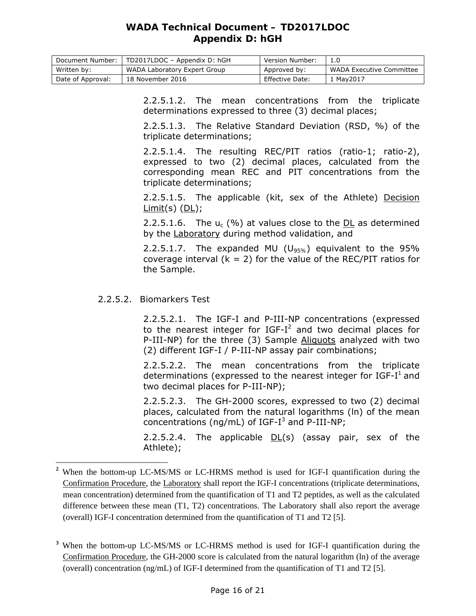# *WADA* **Technical Document – TD2017LDOC Appendix D: hGH**

| Document Number:  | TD2017LDOC - Appendix D: hGH | Version Number: |                          |
|-------------------|------------------------------|-----------------|--------------------------|
| Written by:       | WADA Laboratory Expert Group | Approved by:    | WADA Executive Committee |
| Date of Approval: | 18 November 2016             | Effective Date: | 1 May 2017               |

2.2.5.1.2. The mean concentrations from the triplicate determinations expressed to three (3) decimal places;

2.2.5.1.3. The Relative Standard Deviation (RSD, %) of the triplicate determinations;

2.2.5.1.4. The resulting REC/PIT ratios (ratio-1; ratio-2), expressed to two (2) decimal places, calculated from the corresponding mean REC and PIT concentrations from the triplicate determinations;

2.2.5.1.5. The applicable (kit, sex of the *Athlete*) Decision  $Limit(s)$  ( $DL$ );

2.2.5.1.6. The  $u_c$  (%) at values close to the DL as determined by the Laboratory during method validation, and

2.2.5.1.7. The expanded MU ( $U_{95\%}$ ) equivalent to the 95% coverage interval  $(k = 2)$  for the value of the REC/PIT ratios for the *Sample*.

### 2.2.5.2. *Biomarkers Test*

 $\overline{a}$ 

2.2.5.2.1. The IGF-I and P-III-NP concentrations (expressed to the nearest integer for IGF-I<sup>2</sup> and two decimal places for P-III-NP) for the three (3) *Sample* Aliquots analyzed with two (2) different IGF-I / P-III-NP assay pair combinations;

2.2.5.2.2. The mean concentrations from the triplicate determinations (expressed to the nearest integer for  $IGF-I<sup>1</sup>$  and two decimal places for P-III-NP);

2.2.5.2.3. The GH-2000 scores, expressed to two (2) decimal places, calculated from the natural logarithms (ln) of the mean concentrations (ng/mL) of IGF-I<sup>3</sup> and P-III-NP;

2.2.5.2.4. The applicable  $DL(s)$  (assay pair, sex of the *Athlete*);

<sup>&</sup>lt;sup>2</sup> When the bottom-up LC-MS/MS or LC-HRMS method is used for IGF-I quantification during the Confirmation Procedure, the Laboratory shall report the IGF-I concentrations (triplicate determinations, mean concentration) determined from the quantification of T1 and T2 peptides, as well as the calculated difference between these mean (T1, T2) concentrations. The Laboratory shall also report the average (overall) IGF-I concentration determined from the quantification of T1 and T2 [5].

<sup>&</sup>lt;sup>3</sup> When the bottom-up LC-MS/MS or LC-HRMS method is used for IGF-I quantification during the Confirmation Procedure, the GH-2000 score is calculated from the natural logarithm (ln) of the average (overall) concentration (ng/mL) of IGF-I determined from the quantification of T1 and T2 [5].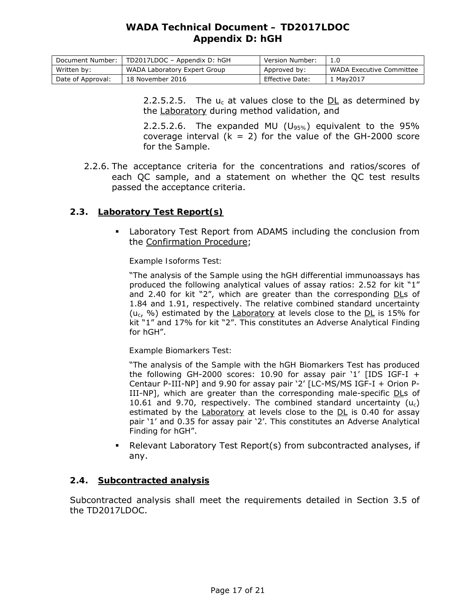# *WADA* **Technical Document – TD2017LDOC Appendix D: hGH**

| Document Number:  | TD2017LDOC - Appendix D: hGH | Version Number: |                          |
|-------------------|------------------------------|-----------------|--------------------------|
| Written by:       | WADA Laboratory Expert Group | Approved by:    | WADA Executive Committee |
| Date of Approval: | 18 November 2016             | Effective Date: | . Mav2017                |

2.2.5.2.5. The  $u_c$  at values close to the DL as determined by the Laboratory during method validation, and

2.2.5.2.6. The expanded MU (*U95%*) equivalent to the 95% coverage interval  $(k = 2)$  for the value of the GH-2000 score for the *Sample*.

2.2.6. The acceptance criteria for the concentrations and ratios/scores of each QC sample, and a statement on whether the QC test results passed the acceptance criteria.

### **2.3. Laboratory Test Report(s)**

 Laboratory Test Report from *ADAMS* including the conclusion from the Confirmation Procedure;

#### *Example Isoforms Test:*

"The analysis of the *Sample* using the hGH differential immunoassays has produced the following analytical values of assay ratios: 2.52 for kit "1" and 2.40 for kit "2", which are greater than the corresponding  $D\mathsf{Ls}$  of 1.84 and 1.91, respectively. The relative combined standard uncertainty (*uc*, %) estimated by the Laboratory at levels close to the DL is 15% for kit "1" and 17% for kit "2". This constitutes an *Adverse Analytical Finding* for hGH".

#### *Example Biomarkers Test:*

"The analysis of the *Sample* with the hGH Biomarkers Test has produced the following GH-2000 scores: 10.90 for assay pair '1' [IDS IGF-I + Centaur P-III-NP] and 9.90 for assay pair '2' [LC-MS/MS IGF-I + Orion P-III-NP], which are greater than the corresponding male-specific DLs of 10.61 and 9.70, respectively. The combined standard uncertainty (*uc*) estimated by the Laboratory at levels close to the DL is 0.40 for assay pair '1' and 0.35 for assay pair '2'. This constitutes an *Adverse Analytical Finding* for hGH".

 Relevant Laboratory Test Report(s) from subcontracted analyses, if any.

### **2.4. Subcontracted analysis**

Subcontracted analysis shall meet the requirements detailed in Section 3.5 of the TD2017LDOC.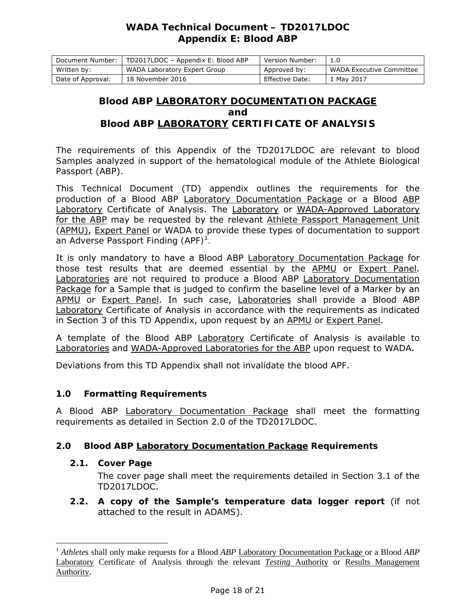# *WADA* **Technical Document – TD2017LDOC Appendix E: Blood** *ABP*

| Document Number:  | TD2017LDOC - Appendix E: Blood ABP | Version Number: |                          |
|-------------------|------------------------------------|-----------------|--------------------------|
| Written by:       | WADA Laboratory Expert Group       | Approved by:    | WADA Executive Committee |
| Date of Approval: | 18 November 2016                   | Effective Date: | 1 May 2017               |

## **Blood** *ABP* **LABORATORY DOCUMENTATION PACKAGE and Blood** *ABP* **LABORATORY CERTIFICATE OF ANALYSIS**

The requirements of this Appendix of the TD2017LDOC are relevant to blood *Samples* analyzed in support of the hematological module of the *Athlete Biological Passport* (*ABP*).

This Technical Document (TD) appendix outlines the requirements for the production of a Blood *ABP* Laboratory Documentation Package or a Blood *ABP*  Laboratory Certificate of Analysis. The Laboratory or *WADA*-Approved Laboratory for the *ABP* may be requested by the relevant *Athlete* Passport Management Unit (APMU), Expert Panel or *WADA* to provide these types of documentation to support an *Adverse Passport Finding (APF)<sup>1</sup> .* 

It is only mandatory to have a Blood *ABP* Laboratory Documentation Package for those test results that are deemed essential by the APMU or Expert Panel. Laboratories are not required to produce a Blood *ABP* Laboratory Documentation Package for a *Sample* that is judged to confirm the baseline level of a *Marker* by an APMU or Expert Panel. In such case, Laboratories shall provide a Blood *ABP* Laboratory Certificate of Analysis in accordance with the requirements as indicated in Section 3 of this TD Appendix, upon request by an APMU or Expert Panel.

A template of the Blood *ABP* Laboratory Certificate of Analysis is available to Laboratories and *WADA*-Approved Laboratories for the *ABP* upon request to *WADA*.

Deviations from this TD Appendix shall not invalidate the blood *APF*.

## **1.0 Formatting Requirements**

A Blood *ABP* Laboratory Documentation Package shall meet the formatting requirements as detailed in Section 2.0 of the TD2017LDOC.

## **2.0 Blood** *ABP* **Laboratory Documentation Package Requirements**

## **2.1. Cover Page**

 $\overline{a}$ 

The cover page shall meet the requirements detailed in Section 3.1 of the TD2017LDOC.

**2.2. A copy of the** *Sample***'s temperature data logger report** (if not attached to the result in *ADAMS*).

<sup>1</sup> *Athlete*s shall only make requests for a Blood *ABP* Laboratory Documentation Package or a Blood *ABP* Laboratory Certificate of Analysis through the relevant *Testing* Authority or Results Management Authority.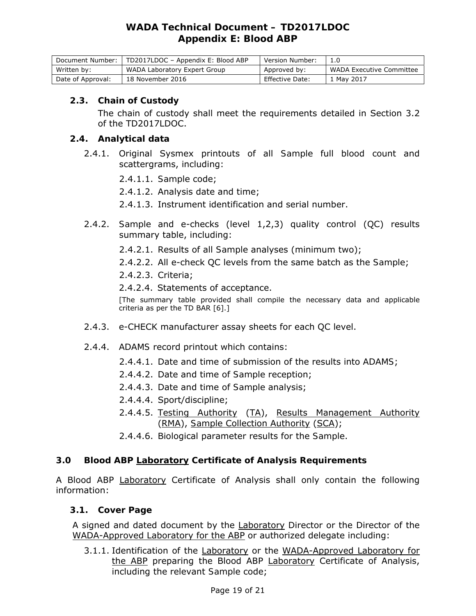# *WADA* **Technical Document – TD2017LDOC Appendix E: Blood** *ABP*

| Document Number:  | TD2017LDOC - Appendix E: Blood ABP | Version Number: |                          |
|-------------------|------------------------------------|-----------------|--------------------------|
| Written by:       | WADA Laboratory Expert Group       | Approved by:    | WADA Executive Committee |
| Date of Approval: | 18 November 2016                   | Effective Date: | . Mav 2017               |

### **2.3. Chain of Custody**

The chain of custody shall meet the requirements detailed in Section 3.2 of the TD2017LDOC.

### **2.4. Analytical data**

- 2.4.1. Original Sysmex printouts of all *Sample* full blood count and scattergrams, including:
	- 2.4.1.1. *Sample* code;
	- 2.4.1.2. Analysis date and time;
	- 2.4.1.3. Instrument identification and serial number.
- 2.4.2. *Sample* and e-checks (level 1,2,3) quality control (QC) results summary table, including:
	- 2.4.2.1. Results of all *Sample* analyses (minimum two);
	- 2.4.2.2. All e-check QC levels from the same batch as the *Sample*;
	- 2.4.2.3. Criteria;

2.4.2.4. Statements of acceptance.

[The summary table provided shall compile the necessary data and applicable criteria as per the TD BAR [6].]

- 2.4.3. e-CHECK manufacturer assay sheets for each QC level.
- 2.4.4. *ADAMS* record printout which contains:
	- 2.4.4.1. Date and time of submission of the results into *ADAMS*;
	- 2.4.4.2. Date and time of *Sample* reception;
	- 2.4.4.3. Date and time of *Sample* analysis;
	- 2.4.4.4. Sport/discipline;
	- 2.4.4.5. *Testing* Authority (TA), Results Management Authority (RMA), *Sample* Collection Authority (SCA);
	- 2.4.4.6. Biological parameter results for the *Sample*.

### **3.0 Blood** *ABP* **Laboratory Certificate of Analysis Requirements**

A Blood *ABP* Laboratory Certificate of Analysis shall only contain the following information:

### **3.1. Cover Page**

A signed and dated document by the Laboratory Director or the Director of the *WADA*-Approved Laboratory for the *ABP* or authorized delegate including:

3.1.1. Identification of the Laboratory or the *WADA*-Approved Laboratory for the *ABP* preparing the Blood *ABP* Laboratory Certificate of Analysis, including the relevant *Sample* code;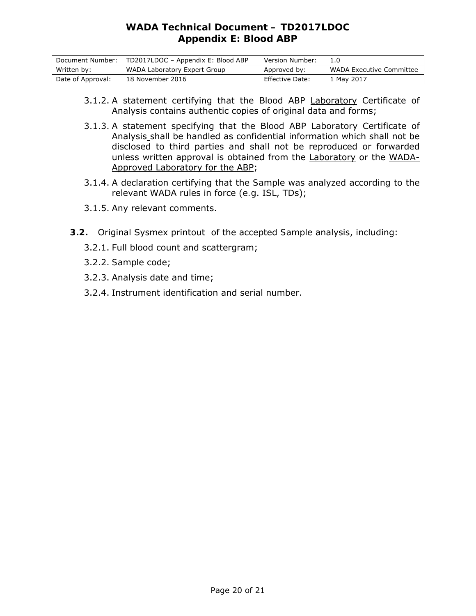# *WADA* **Technical Document – TD2017LDOC Appendix E: Blood** *ABP*

| Document Number:  | TD2017LDOC - Appendix E: Blood ABP | Version Number: |                          |
|-------------------|------------------------------------|-----------------|--------------------------|
| Written by:       | WADA Laboratory Expert Group       | Approved by:    | WADA Executive Committee |
| Date of Approval: | 18 November 2016                   | Effective Date: | 1 May 2017               |

- 3.1.2. A statement certifying that the Blood *ABP* Laboratory Certificate of Analysis contains authentic copies of original data and forms;
- 3.1.3. A statement specifying that the Blood *ABP* Laboratory Certificate of Analysis shall be handled as confidential information which shall not be disclosed to third parties and shall not be reproduced or forwarded unless written approval is obtained from the Laboratory or the *WADA*-Approved Laboratory for the *ABP*;
- 3.1.4. A declaration certifying that the *Sample* was analyzed according to the relevant *WADA* rules in force (*e.g*. ISL, TDs);
- 3.1.5. Any relevant comments.
- **3.2.** Original Sysmex printout of the accepted *Sample* analysis, including:
	- 3.2.1. Full blood count and scattergram;
	- 3.2.2. *Sample* code;
	- 3.2.3. Analysis date and time;
	- 3.2.4. Instrument identification and serial number.